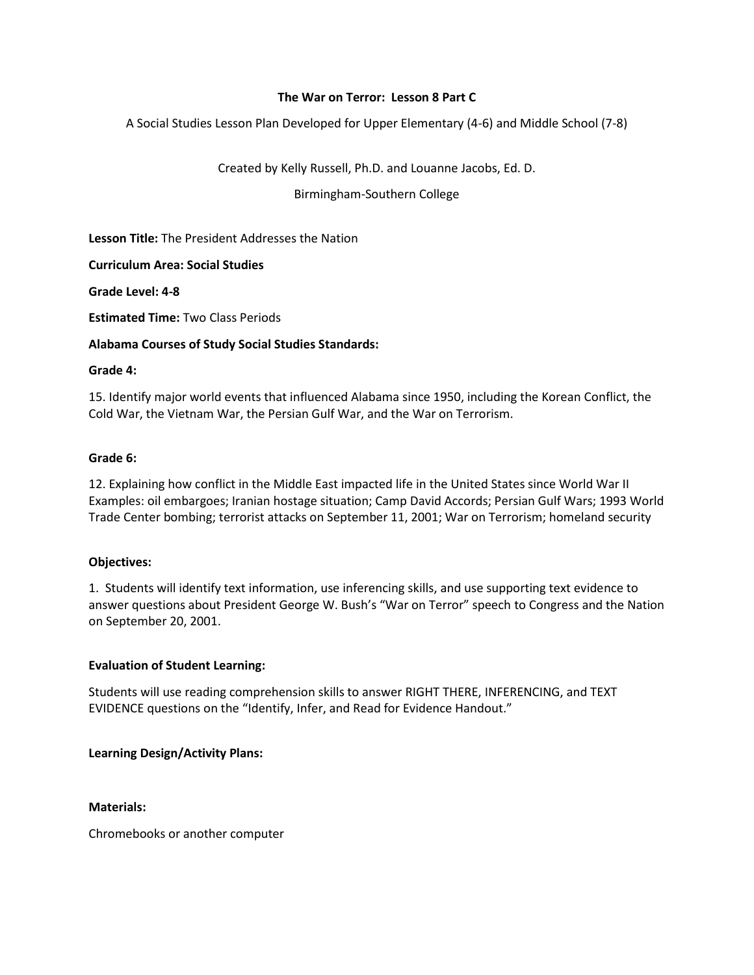# **The War on Terror: Lesson 8 Part C**

A Social Studies Lesson Plan Developed for Upper Elementary (4-6) and Middle School (7-8)

Created by Kelly Russell, Ph.D. and Louanne Jacobs, Ed. D.

Birmingham-Southern College

**Lesson Title:** The President Addresses the Nation

**Curriculum Area: Social Studies**

**Grade Level: 4-8**

**Estimated Time:** Two Class Periods

## **Alabama Courses of Study Social Studies Standards:**

#### **Grade 4:**

15. Identify major world events that influenced Alabama since 1950, including the Korean Conflict, the Cold War, the Vietnam War, the Persian Gulf War, and the War on Terrorism.

## **Grade 6:**

12. Explaining how conflict in the Middle East impacted life in the United States since World War II Examples: oil embargoes; Iranian hostage situation; Camp David Accords; Persian Gulf Wars; 1993 World Trade Center bombing; terrorist attacks on September 11, 2001; War on Terrorism; homeland security

#### **Objectives:**

1. Students will identify text information, use inferencing skills, and use supporting text evidence to answer questions about President George W. Bush's "War on Terror" speech to Congress and the Nation on September 20, 2001.

#### **Evaluation of Student Learning:**

Students will use reading comprehension skills to answer RIGHT THERE, INFERENCING, and TEXT EVIDENCE questions on the "Identify, Infer, and Read for Evidence Handout."

# **Learning Design/Activity Plans:**

#### **Materials:**

Chromebooks or another computer